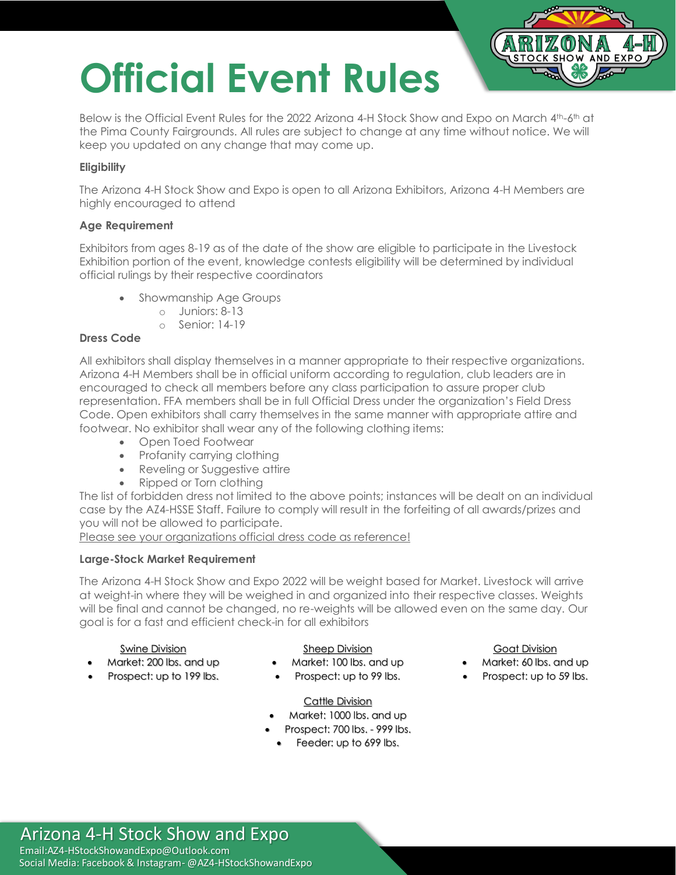# **Official Event Rules**



Below is the Official Event Rules for the 2022 Arizona 4-H Stock Show and Expo on March 4th-6th at the Pima County Fairgrounds. All rules are subject to change at any time without notice. We will keep you updated on any change that may come up.

#### **Eligibility**

The Arizona 4-H Stock Show and Expo is open to all Arizona Exhibitors, Arizona 4-H Members are highly encouraged to attend

#### **Age Requirement**

Exhibitors from ages 8-19 as of the date of the show are eligible to participate in the Livestock Exhibition portion of the event, knowledge contests eligibility will be determined by individual official rulings by their respective coordinators

- Showmanship Age Groups
	- o Juniors: 8-13
	- o Senior: 14-19

#### **Dress Code**

All exhibitors shall display themselves in a manner appropriate to their respective organizations. Arizona 4-H Members shall be in official uniform according to regulation, club leaders are in encouraged to check all members before any class participation to assure proper club representation. FFA members shall be in full Official Dress under the organization's Field Dress Code. Open exhibitors shall carry themselves in the same manner with appropriate attire and footwear. No exhibitor shall wear any of the following clothing items:

- Open Toed Footwear
- Profanity carrying clothing
- Reveling or Suggestive attire
- Ripped or Torn clothing

The list of forbidden dress not limited to the above points; instances will be dealt on an individual case by the AZ4-HSSE Staff. Failure to comply will result in the forfeiting of all awards/prizes and you will not be allowed to participate.

Please see your organizations official dress code as reference!

#### **Large-Stock Market Requirement**

The Arizona 4-H Stock Show and Expo 2022 will be weight based for Market. Livestock will arrive at weight-in where they will be weighed in and organized into their respective classes. Weights will be final and cannot be changed, no re-weights will be allowed even on the same day. Our goal is for a fast and efficient check-in for all exhibitors

#### Swine Division

- Market: 200 lbs. and up
- Prospect: up to 199 lbs.

#### Sheep Division

- Market: 100 lbs. and up
- Prospect: up to 99 lbs.

#### Goat Division

- Market: 60 lbs. and up
- Prospect: up to 59 lbs.

#### Cattle Division

- Market: 1000 lbs. and up
- Prospect: 700 lbs. 999 lbs.
- Feeder: up to 699 lbs.

### Arizona 4-H Stock Show and Expo

Email:AZ4-HStockShowandExpo@Outlook.com Social Media: Facebook & Instagram- @AZ4-HStockShowandExpo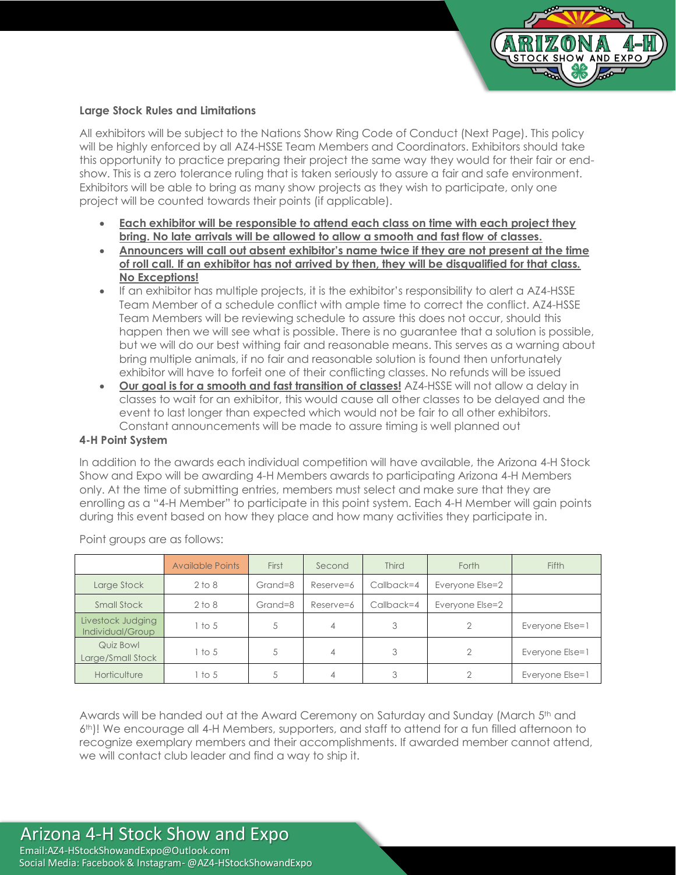

#### **Large Stock Rules and Limitations**

All exhibitors will be subject to the Nations Show Ring Code of Conduct (Next Page). This policy will be highly enforced by all AZ4-HSSE Team Members and Coordinators. Exhibitors should take this opportunity to practice preparing their project the same way they would for their fair or endshow. This is a zero tolerance ruling that is taken seriously to assure a fair and safe environment. Exhibitors will be able to bring as many show projects as they wish to participate, only one project will be counted towards their points (if applicable).

- **Each exhibitor will be responsible to attend each class on time with each project they bring. No late arrivals will be allowed to allow a smooth and fast flow of classes.**
- **Announcers will call out absent exhibitor's name twice if they are not present at the time of roll call. If an exhibitor has not arrived by then, they will be disqualified for that class. No Exceptions!**
- If an exhibitor has multiple projects, it is the exhibitor's responsibility to alert a AZ4-HSSE Team Member of a schedule conflict with ample time to correct the conflict. AZ4-HSSE Team Members will be reviewing schedule to assure this does not occur, should this happen then we will see what is possible. There is no guarantee that a solution is possible, but we will do our best withing fair and reasonable means. This serves as a warning about bring multiple animals, if no fair and reasonable solution is found then unfortunately exhibitor will have to forfeit one of their conflicting classes. No refunds will be issued
- **Our goal is for a smooth and fast transition of classes!** AZ4-HSSE will not allow a delay in classes to wait for an exhibitor, this would cause all other classes to be delayed and the event to last longer than expected which would not be fair to all other exhibitors. Constant announcements will be made to assure timing is well planned out

#### **4-H Point System**

In addition to the awards each individual competition will have available, the Arizona 4-H Stock Show and Expo will be awarding 4-H Members awards to participating Arizona 4-H Members only. At the time of submitting entries, members must select and make sure that they are enrolling as a "4-H Member" to participate in this point system. Each 4-H Member will gain points during this event based on how they place and how many activities they participate in.

|                                       | <b>Available Points</b> | First   | Second    | <b>Third</b> | Forth           | Fifth           |
|---------------------------------------|-------------------------|---------|-----------|--------------|-----------------|-----------------|
| Large Stock                           | $2$ to $8$              | Grand=8 | Reserve=6 | Callback=4   | Everyone Else=2 |                 |
| Small Stock                           | $2$ to $8$              | Grand=8 | Reserve=6 | Callback=4   | Everyone Else=2 |                 |
| Livestock Judging<br>Individual/Group | 1 to 5                  | 5       | 4         | 3            |                 | Everyone Else=1 |
| Quiz Bowl<br>Large/Small Stock        | 1 to 5                  | 5       | 4         | 3            | $\overline{2}$  | Everyone Else=1 |
| Horticulture                          | 1 to 5                  | 5       | 4         | C            |                 | Everyone Else=1 |

Point groups are as follows:

Awards will be handed out at the Award Ceremony on Saturday and Sunday (March 5th and 6th)! We encourage all 4-H Members, supporters, and staff to attend for a fun filled afternoon to recognize exemplary members and their accomplishments. If awarded member cannot attend, we will contact club leader and find a way to ship it.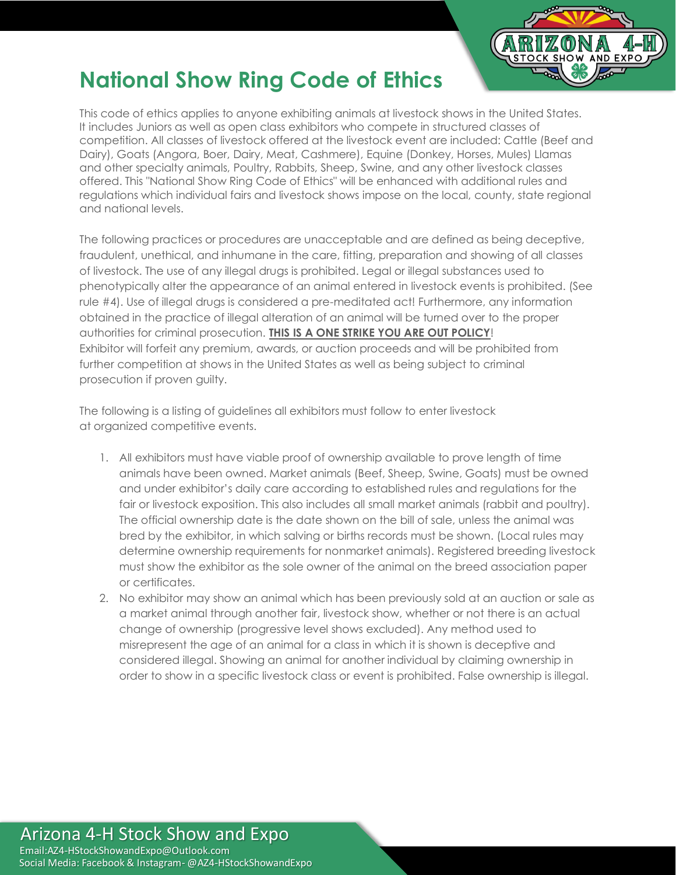

## **National Show Ring Code of Ethics**

This code of ethics applies to anyone exhibiting animals at livestock shows in the United States. It includes Juniors as well as open class exhibitors who compete in structured classes of competition. All classes of livestock offered at the livestock event are included: Cattle (Beef and Dairy), Goats (Angora, Boer, Dairy, Meat, Cashmere), Equine (Donkey, Horses, Mules) Llamas and other specialty animals, Poultry, Rabbits, Sheep, Swine, and any other livestock classes offered. This "National Show Ring Code of Ethics" will be enhanced with additional rules and regulations which individual fairs and livestock shows impose on the local, county, state regional and national levels.

The following practices or procedures are unacceptable and are defined as being deceptive, fraudulent, unethical, and inhumane in the care, fitting, preparation and showing of all classes of livestock. The use of any illegal drugs is prohibited. Legal or illegal substances used to phenotypically alter the appearance of an animal entered in livestock events is prohibited. (See rule #4). Use of illegal drugs is considered a pre-meditated act! Furthermore, any information obtained in the practice of illegal alteration of an animal will be turned over to the proper authorities for criminal prosecution. **THIS IS A ONE STRIKE YOU ARE OUT POLICY**! Exhibitor will forfeit any premium, awards, or auction proceeds and will be prohibited from further competition at shows in the United States as well as being subject to criminal prosecution if proven guilty.

The following is a listing of guidelines all exhibitors must follow to enter livestock at organized competitive events.

- 1. All exhibitors must have viable proof of ownership available to prove length of time animals have been owned. Market animals (Beef, Sheep, Swine, Goats) must be owned and under exhibitor's daily care according to established rules and regulations for the fair or livestock exposition. This also includes all small market animals (rabbit and poultry). The official ownership date is the date shown on the bill of sale, unless the animal was bred by the exhibitor, in which salving or births records must be shown. (Local rules may determine ownership requirements for nonmarket animals). Registered breeding livestock must show the exhibitor as the sole owner of the animal on the breed association paper or certificates.
- 2. No exhibitor may show an animal which has been previously sold at an auction or sale as a market animal through another fair, livestock show, whether or not there is an actual change of ownership (progressive level shows excluded). Any method used to misrepresent the age of an animal for a class in which it is shown is deceptive and considered illegal. Showing an animal for another individual by claiming ownership in order to show in a specific livestock class or event is prohibited. False ownership is illegal.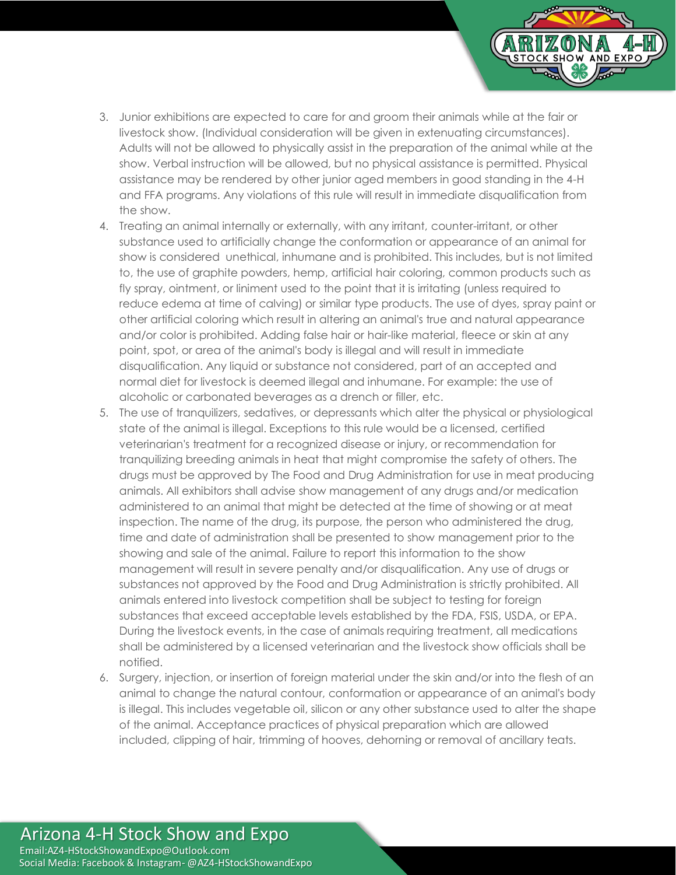

- 3. Junior exhibitions are expected to care for and groom their animals while at the fair or livestock show. (Individual consideration will be given in extenuating circumstances). Adults will not be allowed to physically assist in the preparation of the animal while at the show. Verbal instruction will be allowed, but no physical assistance is permitted. Physical assistance may be rendered by other junior aged members in good standing in the 4-H and FFA programs. Any violations of this rule will result in immediate disqualification from the show.
- 4. Treating an animal internally or externally, with any irritant, counter-irritant, or other substance used to artificially change the conformation or appearance of an animal for show is considered unethical, inhumane and is prohibited. This includes, but is not limited to, the use of graphite powders, hemp, artificial hair coloring, common products such as fly spray, ointment, or liniment used to the point that it is irritating (unless required to reduce edema at time of calving) or similar type products. The use of dyes, spray paint or other artificial coloring which result in altering an animal's true and natural appearance and/or color is prohibited. Adding false hair or hair-like material, fleece or skin at any point, spot, or area of the animal's body is illegal and will result in immediate disqualification. Any liquid or substance not considered, part of an accepted and normal diet for livestock is deemed illegal and inhumane. For example: the use of alcoholic or carbonated beverages as a drench or filler, etc.
- 5. The use of tranquilizers, sedatives, or depressants which alter the physical or physiological state of the animal is illegal. Exceptions to this rule would be a licensed, certified veterinarian's treatment for a recognized disease or injury, or recommendation for tranquilizing breeding animals in heat that might compromise the safety of others. The drugs must be approved by The Food and Drug Administration for use in meat producing animals. All exhibitors shall advise show management of any drugs and/or medication administered to an animal that might be detected at the time of showing or at meat inspection. The name of the drug, its purpose, the person who administered the drug, time and date of administration shall be presented to show management prior to the showing and sale of the animal. Failure to report this information to the show management will result in severe penalty and/or disqualification. Any use of drugs or substances not approved by the Food and Drug Administration is strictly prohibited. All animals entered into livestock competition shall be subject to testing for foreign substances that exceed acceptable levels established by the FDA, FSIS, USDA, or EPA. During the livestock events, in the case of animals requiring treatment, all medications shall be administered by a licensed veterinarian and the livestock show officials shall be notified.
- 6. Surgery, injection, or insertion of foreign material under the skin and/or into the flesh of an animal to change the natural contour, conformation or appearance of an animal's body is illegal. This includes vegetable oil, silicon or any other substance used to alter the shape of the animal. Acceptance practices of physical preparation which are allowed included, clipping of hair, trimming of hooves, dehorning or removal of ancillary teats.